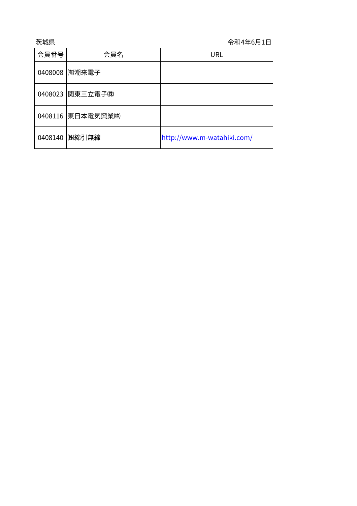| 会員番号 | 会員名                | URL                        |
|------|--------------------|----------------------------|
|      | 0408008 (有潮来電子     |                            |
|      | 0408023 関東三立電子㈱    |                            |
|      | 0408116 東日本電気興業(株) |                            |
|      | 0408140 (株)綿引無線    | http://www.m-watahiki.com/ |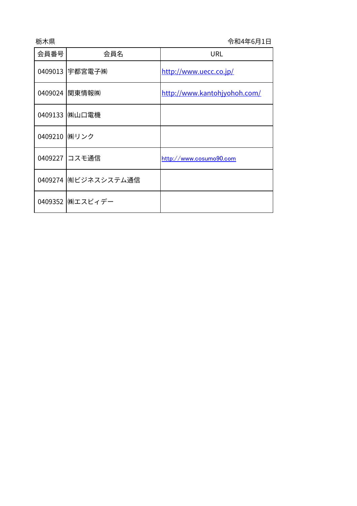| 会員番号          | 会員名                  | <b>URL</b>                   |
|---------------|----------------------|------------------------------|
|               | 0409013 宇都宮電子㈱       | http://www.uecc.co.jp/       |
|               | 0409024 関東情報㈱        | http://www.kantohjyohoh.com/ |
|               | 0409133 (㈱山口電機       |                              |
| 0409210 (㈱リンク |                      |                              |
|               | 0409227 コスモ通信        | http://www.cosumo90.com      |
|               | 0409274  侑ビジネスシステム通信 |                              |
|               | 0409352 (㈱エスビィデー     |                              |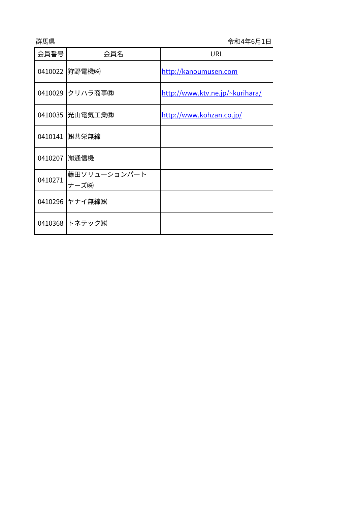| 会員番号           | 会員名                    | URL                             |
|----------------|------------------------|---------------------------------|
|                | 0410022  狩野電機㈱         | http://kanoumusen.com           |
|                | 0410029 クリハラ商事(株)      | http://www.ktv.ne.jp/~kurihara/ |
|                | 0410035 光山電気工業㈱        | http://www.kohzan.co.jp/        |
|                | 0410141 (㈱共栄無線         |                                 |
| 0410207   侑通信機 |                        |                                 |
| 0410271        | 藤田ソリューションパート<br>ナーズ(株) |                                 |
|                | 0410296  ヤナイ無線㈱        |                                 |
|                | 0410368 トネテック㈱         |                                 |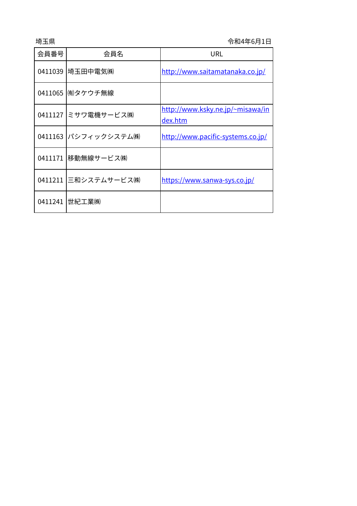| 会員番号    | 会員名                  | URL                                         |
|---------|----------------------|---------------------------------------------|
|         | 0411039   埼玉田中電気㈱    | http://www.saitamatanaka.co.jp/             |
|         | 0411065  侑タケウチ無線     |                                             |
|         | 0411127 ミサワ電機サービス(株) | http://www.ksky.ne.jp/~misawa/in<br>dex.htm |
|         | 0411163 パシフィックシステム㈱  | http://www.pacific-systems.co.jp/           |
|         | 0411171  移動無線サービス㈱   |                                             |
|         | 0411211 三和システムサービス㈱  | https://www.sanwa-sys.co.jp/                |
| 0411241 | 世紀工業㈱                |                                             |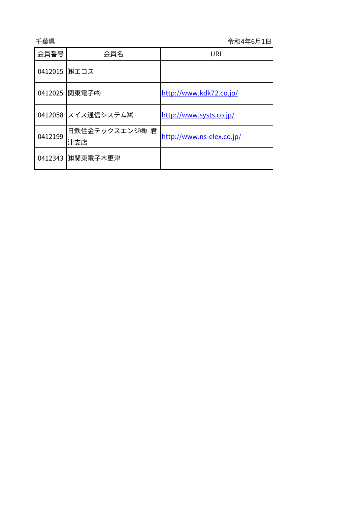| 会員番号          | 会員名                   | URL                       |
|---------------|-----------------------|---------------------------|
| 0412015 (㈱エコス |                       |                           |
|               | 0412025 関東電子㈱         | http://www.kdk72.co.jp/   |
|               | 0412058 スイス通信システム(株)  | http://www.systs.co.jp/   |
| 0412199       | 日鉄住金テックスエンジ㈱ 君<br>津支店 | http://www.ns-elex.co.jp/ |
|               | 0412343 (㈱関東電子木更津     |                           |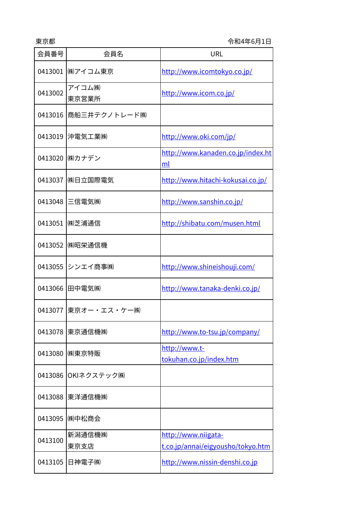| 会員番号    | 会員名                 | URL                                                      |
|---------|---------------------|----------------------------------------------------------|
| 0413001 | ㈱アイコム東京             | http://www.icomtokyo.co.jp/                              |
| 0413002 | アイコム(株)<br>東京営業所    | http://www.icom.co.jp/                                   |
| 0413016 | 商船三井テクノトレード(株)      |                                                          |
| 0413019 | 沖電気工業㈱              | http://www.oki.com/jp/                                   |
|         | 0413020 (㈱カナデン      | http://www.kanaden.co.jp/index.ht<br>ml                  |
|         | 0413037 (㈱日立国際電気    | http://www.hitachi-kokusai.co.jp/                        |
|         | 0413048 三信電気㈱       | http://www.sanshin.co.jp/                                |
| 0413051 | ㈱芝浦通信               | http://shibatu.com/musen.html                            |
|         | 0413052 (㈱昭栄通信機     |                                                          |
| 0413055 | シンエイ商事(株)           | http://www.shineishouji.com/                             |
| 0413066 | 田中電気㈱               | http://www.tanaka-denki.co.jp/                           |
|         | 0413077 東京オー・エス・ケー㈱ |                                                          |
| 0413078 | 東京通信機㈱              | http://www.to-tsu.jp/company/                            |
| 0413080 | ㈱東京特販               | http://www.t-<br>tokuhan.co.jp/index.htm                 |
| 0413086 | OKIネクステック(株)        |                                                          |
| 0413088 | 東洋通信機㈱              |                                                          |
| 0413095 | ㈱中松商会               |                                                          |
| 0413100 | 新潟通信機㈱<br>東京支店      | http://www.niigata-<br>t.co.jp/annai/eigyousho/tokyo.htm |
|         |                     |                                                          |
| 0413105 | 日神電子㈱               | http://www.nissin-denshi.co.jp                           |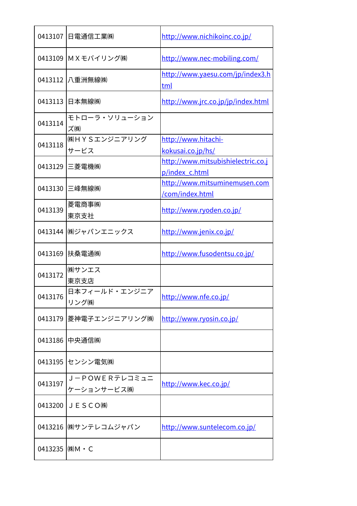|         | 0413107 日電通信工業㈱             | http://www.nichikoinc.co.jp/                         |
|---------|-----------------------------|------------------------------------------------------|
|         | 0413109 M X モバイリング㈱         | http://www.nec-mobiling.com/                         |
|         | 0413112 八重洲無線㈱              | http://www.yaesu.com/jp/index3.h<br>tml              |
|         | 0413113 日本無線㈱               | http://www.jrc.co.jp/jp/index.html                   |
| 0413114 | モトローラ・ソリューション<br>ズ(株)       |                                                      |
| 0413118 | (株)HYSエンジニアリング<br>サービス      | http://www.hitachi-<br>kokusai.co.jp/hs/             |
|         | 0413129  三菱電機㈱              | http://www.mitsubishielectric.co.j<br>p/index_c.html |
|         | 0413130 三峰無線㈱               | http://www.mitsuminemusen.com<br>/com/index.html     |
| 0413139 | 菱電商事㈱<br>東京支社               | http://www.ryoden.co.jp/                             |
|         | 0413144  ㈱ジャパンエニックス         | http://www.jenix.co.jp/                              |
|         |                             |                                                      |
| 0413169 | 扶桑電通㈱                       | http://www.fusodentsu.co.jp/                         |
| 0413172 | ㈱サンエス<br>東京支店               |                                                      |
| 0413176 | 日本フィールド・エンジニア<br>リング(株)     | http://www.nfe.co.jp/                                |
|         | 0413179  菱神電子エンジニアリング(株)    | http://www.ryosin.co.jp/                             |
|         | 0413186 中央通信(株)             |                                                      |
|         | 0413195 センシン電気㈱             |                                                      |
| 0413197 | J-POWERテレコミュニ<br>ケーションサービス㈱ | http://www.kec.co.jp/                                |
| 0413200 | JESCO(株)                    |                                                      |
|         | 0413216 (㈱サンテレコムジャパン        | http://www.suntelecom.co.jp/                         |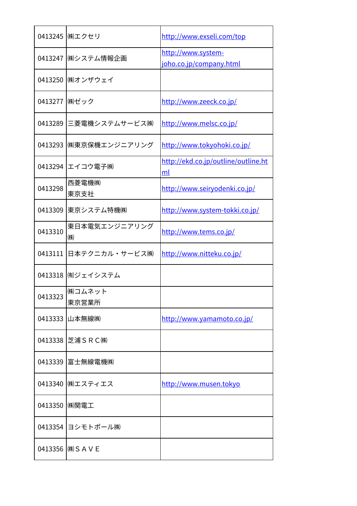|         | 0413245 (㈱エクセリ       | http://www.exseli.com/top                     |
|---------|----------------------|-----------------------------------------------|
|         | 0413247  ㈱システム情報企画   | http://www.system-<br>joho.co.jp/company.html |
|         | 0413250 (㈱オンザウェイ     |                                               |
| 0413277 | ㈱ゼック                 | http://www.zeeck.co.jp/                       |
| 0413289 | 三菱電機システムサービス㈱        | http://www.melsc.co.jp/                       |
| 0413293 | (㈱東京保機エンジニアリング       | http://www.tokyohoki.co.jp/                   |
|         | 0413294 エイコウ電子(株)    | http://ekd.co.jp/outline/outline.ht<br>ml     |
| 0413298 | 西菱電機㈱<br>東京支社        | http://www.seiryodenki.co.jp/                 |
| 0413309 | 東京システム特機㈱            | http://www.system-tokki.co.jp/                |
| 0413310 | 東日本電気エンジニアリング<br>(株) | http://www.tems.co.jp/                        |
| 0413111 | 日本テクニカル・サービス㈱        | http://www.nitteku.co.jp/                     |
|         | 0413318  侑ジェイシステム    |                                               |
| 0413323 | ㈱コムネット<br>東京営業所      |                                               |
|         | 0413333 山本無線(株)      | http://www.yamamoto.co.jp/                    |
|         | 0413338 芝浦 S R C㈱    |                                               |
| 0413339 | 富士無線電機㈱              |                                               |
|         | 0413340 (㈱エスティエス     | http://www.musen.tokyo                        |
| 0413350 | ㈱関電工                 |                                               |
|         | 0413354 ヨシモトポール㈱     |                                               |
|         | 0413356 (株) S A V E  |                                               |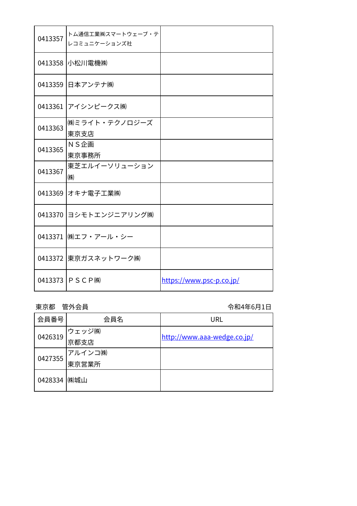| 0413357 | トム通信工業(株)スマートウェーブ・テ<br>レコミュニケーションズ社 |                          |
|---------|-------------------------------------|--------------------------|
|         | 0413358 小松川電機(株)                    |                          |
|         | 0413359 日本アンテナ(株)                   |                          |
|         | 0413361 アイシンピークス㈱                   |                          |
| 0413363 | ㈱ミライト・テクノロジーズ<br>東京支店               |                          |
| 0413365 | NS企画<br>東京事務所                       |                          |
| 0413367 | 東芝エルイーソリューション<br>(株)                |                          |
|         | 0413369 オキナ電子工業(株)                  |                          |
|         | 0413370 ヨシモトエンジニアリング㈱               |                          |
| 0413371 | ㈱エフ・アール・シー                          |                          |
|         | 0413372 東京ガスネットワーク㈱                 |                          |
|         | 0413373 P S C P㈱                    | https://www.psc-p.co.jp/ |

東京都 管外会員 まんない こうしょう こうしょう かんこう 令和4年6月1日

| 会員番号         | 会員名               | URL                         |
|--------------|-------------------|-----------------------------|
| 0426319      | ウェッジ㈱<br>京都支店     | http://www.aaa-wedge.co.jp/ |
| 0427355      | アルインコ(株)<br>東京営業所 |                             |
| 0428334 (㈱城山 |                   |                             |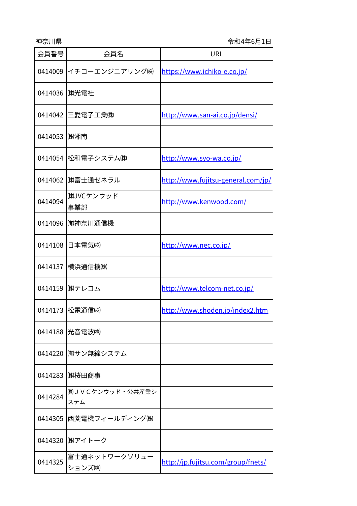| 会員番号    | 会員名                      | URL                                |
|---------|--------------------------|------------------------------------|
| 0414009 | イチコーエンジニアリング㈱            | https://www.ichiko-e.co.jp/        |
| 0414036 | ㈱光電社                     |                                    |
|         | 0414042 三愛電子工業㈱          | http://www.san-ai.co.jp/densi/     |
| 0414053 | (株)湘南                    |                                    |
| 0414054 | 松和電子システム㈱                | http://www.syo-wa.co.jp/           |
| 0414062 | ㈱富士通ゼネラル                 | http://www.fujitsu-general.com/jp/ |
| 0414094 | (株)JVCケンウッド<br>事業部       | http://www.kenwood.com/            |
| 0414096 | 侑神奈川通信機                  |                                    |
| 0414108 | 日本電気㈱                    | http://www.nec.co.jp/              |
| 0414137 | 横浜通信機㈱                   |                                    |
|         | 0414159 (㈱テレコム           | http://www.telcom-net.co.jp/       |
|         | 0414173 松電通信㈱            | http://www.shoden.jp/index2.htm    |
|         | 0414188  光音電波㈱           |                                    |
|         | 0414220  侑サン無線システム       |                                    |
| 0414283 | ㈱桜田商事                    |                                    |
| 0414284 | (株)JVCケンウッド·公共産業シ<br>ステム |                                    |
| 0414305 | 西菱電機フィールディング(株)          |                                    |
| 0414320 | ㈱アイトーク                   |                                    |
| 0414325 | 富士通ネットワークソリュー<br>ションズ(株) | http://jp.fujitsu.com/group/fnets/ |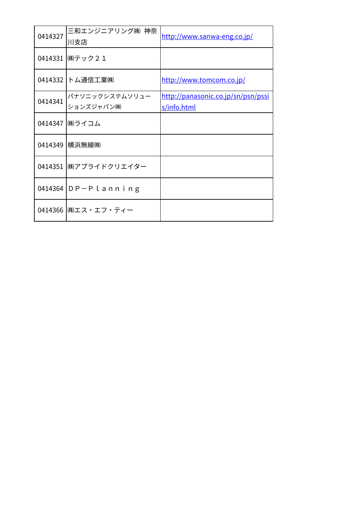| 0414327 | 三和エンジニアリング㈱ 神奈<br>川支店       | http://www.sanwa-eng.co.jp/                              |
|---------|-----------------------------|----------------------------------------------------------|
|         | 0414331 (㈱テック21             |                                                          |
| 0414332 | 卜ム通信工業㈱                     | http://www.tomcom.co.jp/                                 |
| 0414341 | パナソニックシステムソリュー<br>ションズジャパン㈱ | http://panasonic.co.jp/sn/psn/pssi<br><u>s/info.html</u> |
|         | 0414347 (㈱ライコム              |                                                          |
|         | 0414349 横浜無線(株)             |                                                          |
|         | 0414351 (㈱アプライドクリエイター       |                                                          |
|         | 0414364 $D P - P$ lanning   |                                                          |
|         | 0414366  ㈱エス・エフ・ティー         |                                                          |